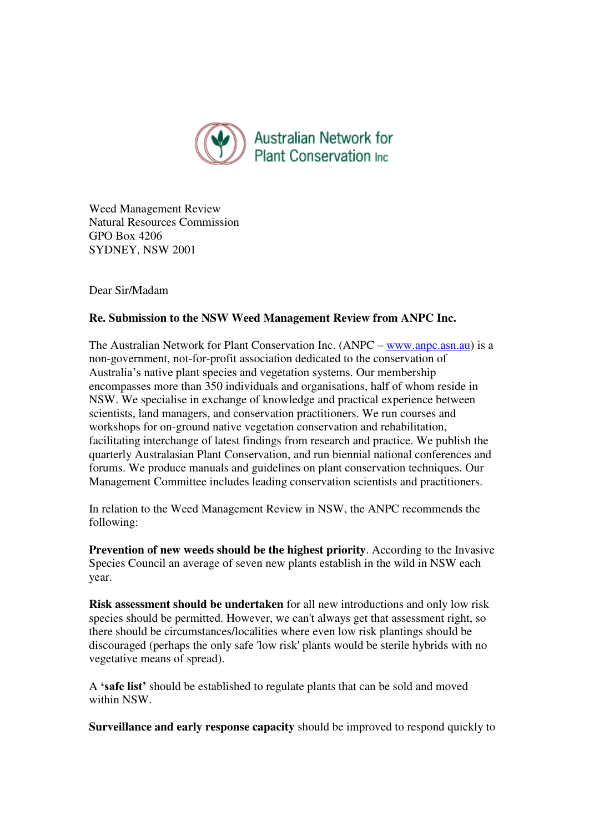

Weed Management Review Natural Resources Commission GPO Box 4206 SYDNEY, NSW 2001

Dear Sir/Madam

## **Re. Submission to the NSW Weed Management Review from ANPC Inc.**

The Australian Network for Plant Conservation Inc. (ANPC – [www.anpc.asn.au\)](http://www.anpc.asn.au/) is a non-government, not-for-profit association dedicated to the conservation of Australia's native plant species and vegetation systems. Our membership encompasses more than 350 individuals and organisations, half of whom reside in NSW. We specialise in exchange of knowledge and practical experience between scientists, land managers, and conservation practitioners. We run courses and workshops for on-ground native vegetation conservation and rehabilitation, facilitating interchange of latest findings from research and practice. We publish the quarterly Australasian Plant Conservation, and run biennial national conferences and forums. We produce manuals and guidelines on plant conservation techniques. Our Management Committee includes leading conservation scientists and practitioners.

In relation to the Weed Management Review in NSW, the ANPC recommends the following:

**Prevention of new weeds should be the highest priority**. According to the Invasive Species Council an average of seven new plants establish in the wild in NSW each year.

**Risk assessment should be undertaken** for all new introductions and only low risk species should be permitted. However, we can't always get that assessment right, so there should be circumstances/localities where even low risk plantings should be discouraged (perhaps the only safe 'low risk' plants would be sterile hybrids with no vegetative means of spread).

A **'safe list'** should be established to regulate plants that can be sold and moved within NSW.

**Surveillance and early response capacity** should be improved to respond quickly to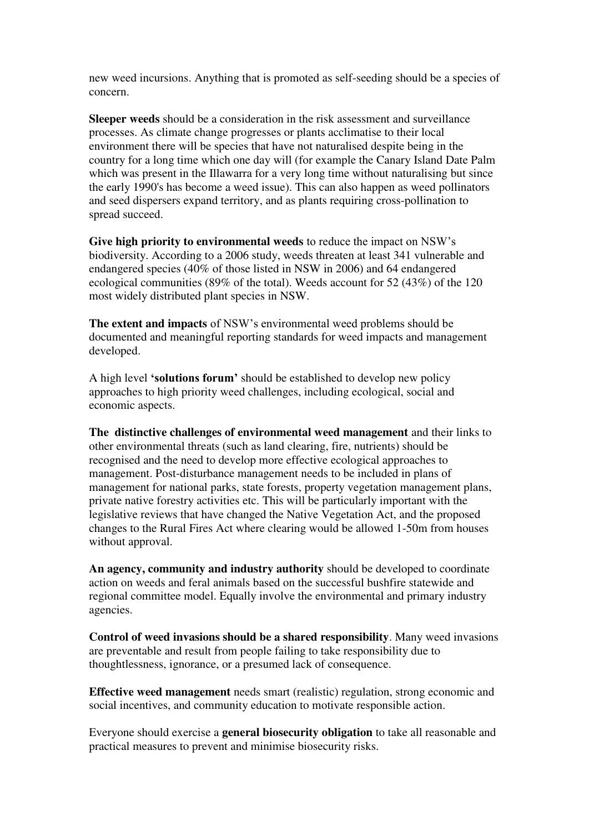new weed incursions. Anything that is promoted as self-seeding should be a species of concern.

**Sleeper weeds** should be a consideration in the risk assessment and surveillance processes. As climate change progresses or plants acclimatise to their local environment there will be species that have not naturalised despite being in the country for a long time which one day will (for example the Canary Island Date Palm which was present in the Illawarra for a very long time without naturalising but since the early 1990's has become a weed issue). This can also happen as weed pollinators and seed dispersers expand territory, and as plants requiring cross-pollination to spread succeed.

**Give high priority to environmental weeds** to reduce the impact on NSW's biodiversity. According to a 2006 study, weeds threaten at least 341 vulnerable and endangered species (40% of those listed in NSW in 2006) and 64 endangered ecological communities (89% of the total). Weeds account for 52 (43%) of the 120 most widely distributed plant species in NSW.

**The extent and impacts** of NSW's environmental weed problems should be documented and meaningful reporting standards for weed impacts and management developed.

A high level **'solutions forum'** should be established to develop new policy approaches to high priority weed challenges, including ecological, social and economic aspects.

**The distinctive challenges of environmental weed management** and their links to other environmental threats (such as land clearing, fire, nutrients) should be recognised and the need to develop more effective ecological approaches to management. Post-disturbance management needs to be included in plans of management for national parks, state forests, property vegetation management plans, private native forestry activities etc. This will be particularly important with the legislative reviews that have changed the Native Vegetation Act, and the proposed changes to the Rural Fires Act where clearing would be allowed 1-50m from houses without approval.

**An agency, community and industry authority** should be developed to coordinate action on weeds and feral animals based on the successful bushfire statewide and regional committee model. Equally involve the environmental and primary industry agencies.

**Control of weed invasions should be a shared responsibility**. Many weed invasions are preventable and result from people failing to take responsibility due to thoughtlessness, ignorance, or a presumed lack of consequence.

**Effective weed management** needs smart (realistic) regulation, strong economic and social incentives, and community education to motivate responsible action.

Everyone should exercise a **general biosecurity obligation** to take all reasonable and practical measures to prevent and minimise biosecurity risks.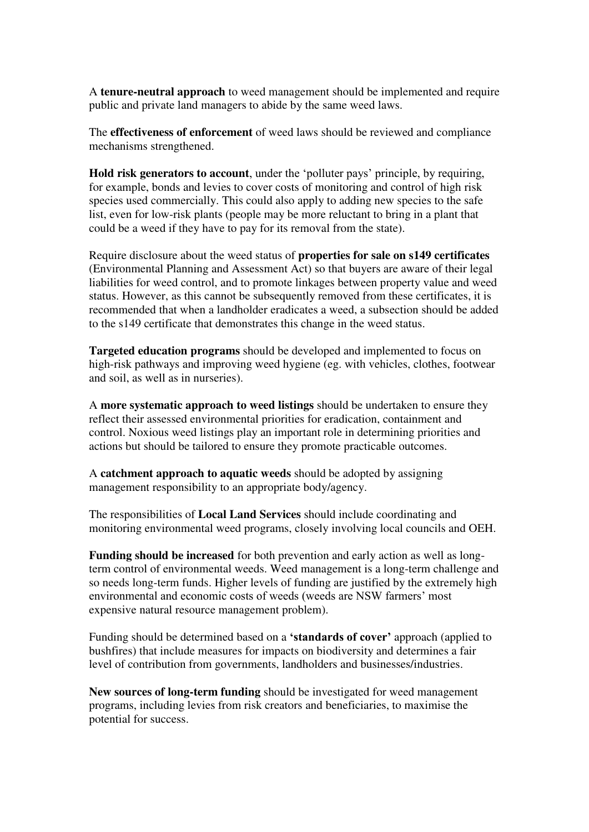A **tenure-neutral approach** to weed management should be implemented and require public and private land managers to abide by the same weed laws.

The **effectiveness of enforcement** of weed laws should be reviewed and compliance mechanisms strengthened.

**Hold risk generators to account**, under the 'polluter pays' principle, by requiring, for example, bonds and levies to cover costs of monitoring and control of high risk species used commercially. This could also apply to adding new species to the safe list, even for low-risk plants (people may be more reluctant to bring in a plant that could be a weed if they have to pay for its removal from the state).

Require disclosure about the weed status of **properties for sale on s149 certificates** (Environmental Planning and Assessment Act) so that buyers are aware of their legal liabilities for weed control, and to promote linkages between property value and weed status. However, as this cannot be subsequently removed from these certificates, it is recommended that when a landholder eradicates a weed, a subsection should be added to the s149 certificate that demonstrates this change in the weed status.

**Targeted education programs** should be developed and implemented to focus on high-risk pathways and improving weed hygiene (eg. with vehicles, clothes, footwear and soil, as well as in nurseries).

A **more systematic approach to weed listings** should be undertaken to ensure they reflect their assessed environmental priorities for eradication, containment and control. Noxious weed listings play an important role in determining priorities and actions but should be tailored to ensure they promote practicable outcomes.

A **catchment approach to aquatic weeds** should be adopted by assigning management responsibility to an appropriate body/agency.

The responsibilities of **Local Land Services** should include coordinating and monitoring environmental weed programs, closely involving local councils and OEH.

**Funding should be increased** for both prevention and early action as well as longterm control of environmental weeds. Weed management is a long-term challenge and so needs long-term funds. Higher levels of funding are justified by the extremely high environmental and economic costs of weeds (weeds are NSW farmers' most expensive natural resource management problem).

Funding should be determined based on a **'standards of cover'** approach (applied to bushfires) that include measures for impacts on biodiversity and determines a fair level of contribution from governments, landholders and businesses/industries.

**New sources of long-term funding** should be investigated for weed management programs, including levies from risk creators and beneficiaries, to maximise the potential for success.